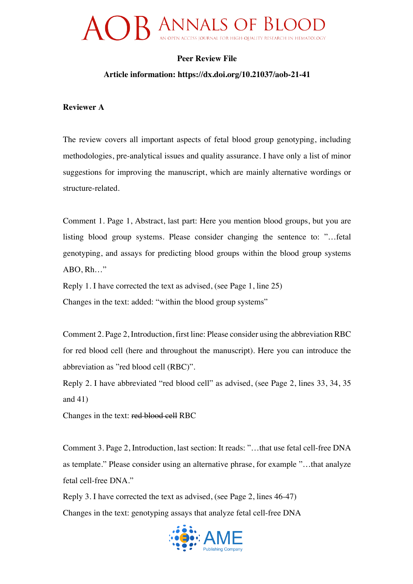## **Peer Review File**

### **Article information: https://dx.doi.org/10.21037/aob-21-41**

#### **Reviewer A**

The review covers all important aspects of fetal blood group genotyping, including methodologies, pre-analytical issues and quality assurance. I have only a list of minor suggestions for improving the manuscript, which are mainly alternative wordings or structure-related.

Comment 1. Page 1, Abstract, last part: Here you mention blood groups, but you are listing blood group systems. Please consider changing the sentence to: "…fetal genotyping, and assays for predicting blood groups within the blood group systems ABO, Rh…"

Reply 1. I have corrected the text as advised, (see Page 1, line 25) Changes in the text: added: "within the blood group systems"

Comment 2. Page 2, Introduction, first line: Please consider using the abbreviation RBC for red blood cell (here and throughout the manuscript). Here you can introduce the abbreviation as "red blood cell (RBC)".

Reply 2. I have abbreviated "red blood cell" as advised, (see Page 2, lines 33, 34, 35 and 41)

Changes in the text: red blood cell RBC

Comment 3. Page 2, Introduction, last section: It reads: "…that use fetal cell-free DNA as template." Please consider using an alternative phrase, for example "…that analyze fetal cell-free DNA."

Reply 3. I have corrected the text as advised, (see Page 2, lines 46-47) Changes in the text: genotyping assays that analyze fetal cell-free DNA

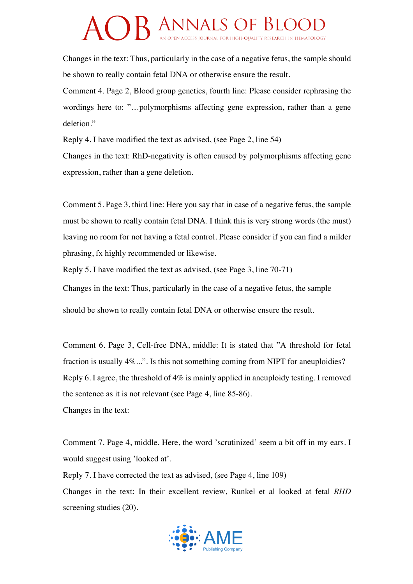Changes in the text: Thus, particularly in the case of a negative fetus, the sample should be shown to really contain fetal DNA or otherwise ensure the result.

Comment 4. Page 2, Blood group genetics, fourth line: Please consider rephrasing the wordings here to: "…polymorphisms affecting gene expression, rather than a gene deletion."

Reply 4. I have modified the text as advised, (see Page 2, line 54) Changes in the text: RhD-negativity is often caused by polymorphisms affecting gene expression, rather than a gene deletion.

Comment 5. Page 3, third line: Here you say that in case of a negative fetus, the sample must be shown to really contain fetal DNA. I think this is very strong words (the must) leaving no room for not having a fetal control. Please consider if you can find a milder phrasing, fx highly recommended or likewise.

Reply 5. I have modified the text as advised, (see Page 3, line 70-71)

Changes in the text: Thus, particularly in the case of a negative fetus, the sample

should be shown to really contain fetal DNA or otherwise ensure the result.

Comment 6. Page 3, Cell-free DNA, middle: It is stated that "A threshold for fetal fraction is usually 4%...". Is this not something coming from NIPT for aneuploidies? Reply 6. I agree, the threshold of 4% is mainly applied in aneuploidy testing. I removed the sentence as it is not relevant (see Page 4, line 85-86). Changes in the text:

Comment 7. Page 4, middle. Here, the word 'scrutinized' seem a bit off in my ears. I would suggest using 'looked at'.

Reply 7. I have corrected the text as advised, (see Page 4, line 109) Changes in the text: In their excellent review, Runkel et al looked at fetal *RHD* screening studies (20).

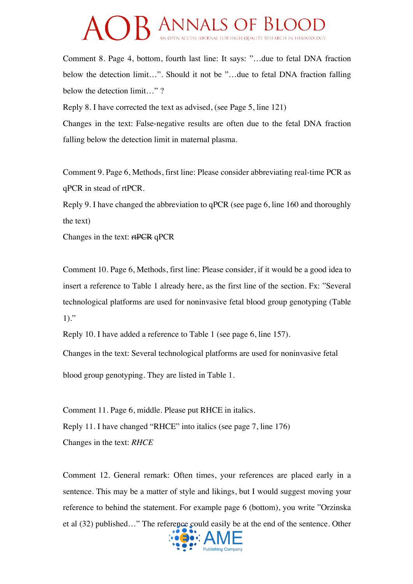Comment 8. Page 4, bottom, fourth last line: It says: "…due to fetal DNA fraction below the detection limit…". Should it not be "…due to fetal DNA fraction falling below the detection limit..."?

Reply 8. I have corrected the text as advised, (see Page 5, line 121)

Changes in the text: False-negative results are often due to the fetal DNA fraction falling below the detection limit in maternal plasma.

Comment 9. Page 6, Methods, first line: Please consider abbreviating real-time PCR as qPCR in stead of rtPCR.

Reply 9. I have changed the abbreviation to qPCR (see page 6, line 160 and thoroughly the text)

Changes in the text: rtPCR qPCR

Comment 10. Page 6, Methods, first line: Please consider, if it would be a good idea to insert a reference to Table 1 already here, as the first line of the section. Fx: "Several technological platforms are used for noninvasive fetal blood group genotyping (Table  $1)$ ."

Reply 10. I have added a reference to Table 1 (see page 6, line 157).

Changes in the text: Several technological platforms are used for noninvasive fetal

blood group genotyping. They are listed in Table 1.

Comment 11. Page 6, middle. Please put RHCE in italics. Reply 11. I have changed "RHCE" into italics (see page 7, line 176) Changes in the text: *RHCE*

Comment 12. General remark: Often times, your references are placed early in a sentence. This may be a matter of style and likings, but I would suggest moving your reference to behind the statement. For example page 6 (bottom), you write "Orzinska et al (32) published…" The reference could easily be at the end of the sentence. Other

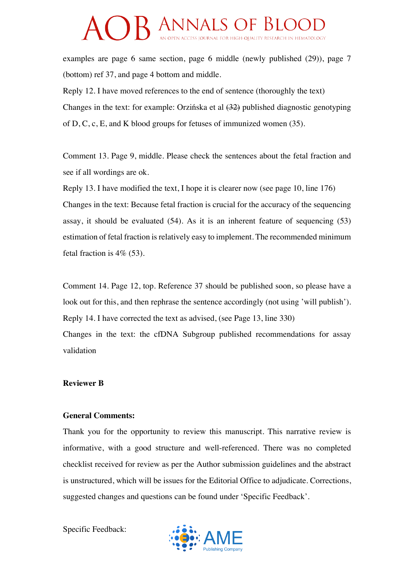# **CELANNALS OF BLOO**

examples are page 6 same section, page 6 middle (newly published (29)), page 7 (bottom) ref 37, and page 4 bottom and middle.

Reply 12. I have moved references to the end of sentence (thoroughly the text) Changes in the text: for example: Orzińska et al (32) published diagnostic genotyping of D, C, c, E, and K blood groups for fetuses of immunized women (35).

Comment 13. Page 9, middle. Please check the sentences about the fetal fraction and see if all wordings are ok.

Reply 13. I have modified the text, I hope it is clearer now (see page 10, line 176) Changes in the text: Because fetal fraction is crucial for the accuracy of the sequencing assay, it should be evaluated (54). As it is an inherent feature of sequencing (53) estimation of fetal fraction is relatively easy to implement. The recommended minimum fetal fraction is  $4\%$  (53).

Comment 14. Page 12, top. Reference 37 should be published soon, so please have a look out for this, and then rephrase the sentence accordingly (not using 'will publish'). Reply 14. I have corrected the text as advised, (see Page 13, line 330) Changes in the text: the cfDNA Subgroup published recommendations for assay validation

### **Reviewer B**

### **General Comments:**

Thank you for the opportunity to review this manuscript. This narrative review is informative, with a good structure and well-referenced. There was no completed checklist received for review as per the Author submission guidelines and the abstract is unstructured, which will be issues for the Editorial Office to adjudicate. Corrections, suggested changes and questions can be found under 'Specific Feedback'.

Specific Feedback:

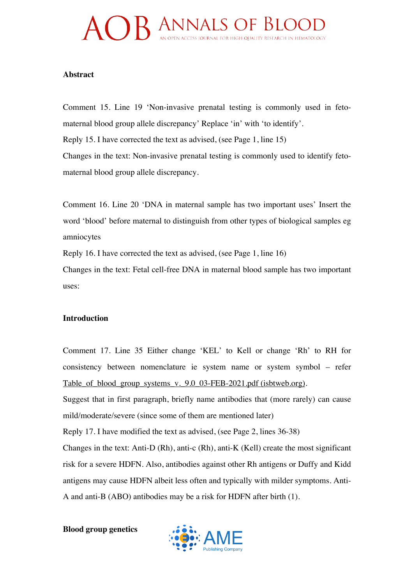# AOB ANNALS OF BLOOD

### **Abstract**

Comment 15. Line 19 'Non-invasive prenatal testing is commonly used in fetomaternal blood group allele discrepancy' Replace 'in' with 'to identify'. Reply 15. I have corrected the text as advised, (see Page 1, line 15) Changes in the text: Non-invasive prenatal testing is commonly used to identify fetomaternal blood group allele discrepancy.

Comment 16. Line 20 'DNA in maternal sample has two important uses' Insert the word 'blood' before maternal to distinguish from other types of biological samples eg amniocytes

Reply 16. I have corrected the text as advised, (see Page 1, line 16)

Changes in the text: Fetal cell-free DNA in maternal blood sample has two important uses:

## **Introduction**

Comment 17. Line 35 Either change 'KEL' to Kell or change 'Rh' to RH for consistency between nomenclature ie system name or system symbol – refer Table of blood group systems v. 9.0 03-FEB-2021.pdf (isbtweb.org).

Suggest that in first paragraph, briefly name antibodies that (more rarely) can cause mild/moderate/severe (since some of them are mentioned later)

Reply 17. I have modified the text as advised, (see Page 2, lines 36-38)

Changes in the text: Anti-D (Rh), anti-c (Rh), anti-K (Kell) create the most significant risk for a severe HDFN. Also, antibodies against other Rh antigens or Duffy and Kidd antigens may cause HDFN albeit less often and typically with milder symptoms. Anti-A and anti-B (ABO) antibodies may be a risk for HDFN after birth (1).

**Blood group genetics** 

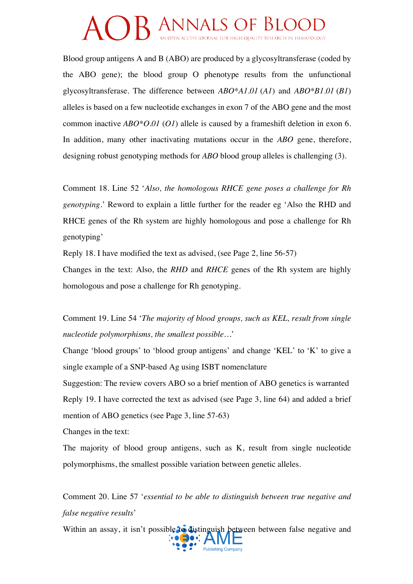Blood group antigens A and B (ABO) are produced by a glycosyltransferase (coded by the ABO gene); the blood group O phenotype results from the unfunctional glycosyltransferase. The difference between *ABO\*A1.01* (*A1*) and *ABO\*B1.01* (*B1*) alleles is based on a few nucleotide exchanges in exon 7 of the ABO gene and the most common inactive *ABO\*O.01* (*O1*) allele is caused by a frameshift deletion in exon 6. In addition, many other inactivating mutations occur in the *ABO* gene, therefore, designing robust genotyping methods for *ABO* blood group alleles is challenging (3).

Comment 18. Line 52 '*Also, the homologous RHCE gene poses a challenge for Rh genotyping*.' Reword to explain a little further for the reader eg 'Also the RHD and RHCE genes of the Rh system are highly homologous and pose a challenge for Rh genotyping'

Reply 18. I have modified the text as advised, (see Page 2, line 56-57)

Changes in the text: Also, the *RHD* and *RHCE* genes of the Rh system are highly homologous and pose a challenge for Rh genotyping.

Comment 19. Line 54 '*The majority of blood groups, such as KEL, result from single nucleotide polymorphisms, the smallest possible…*'

Change 'blood groups' to 'blood group antigens' and change 'KEL' to 'K' to give a single example of a SNP-based Ag using ISBT nomenclature

Suggestion: The review covers ABO so a brief mention of ABO genetics is warranted Reply 19. I have corrected the text as advised (see Page 3, line 64) and added a brief mention of ABO genetics (see Page 3, line 57-63)

Changes in the text:

The majority of blood group antigens, such as K, result from single nucleotide polymorphisms, the smallest possible variation between genetic alleles.

Comment 20. Line 57 '*essential to be able to distinguish between true negative and false negative results*'

Within an assay, it isn't possible to distinguish between between false negative and  $\overline{\cdots}$ **Publishing Company**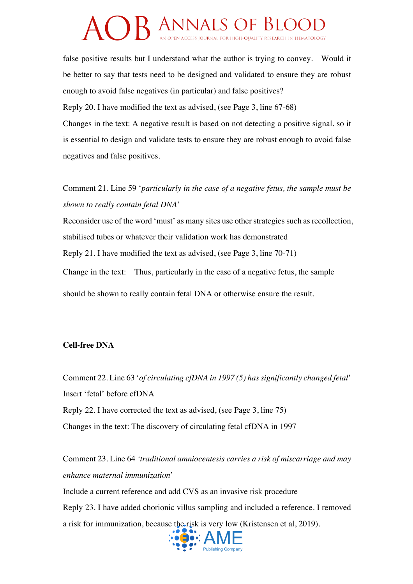false positive results but I understand what the author is trying to convey. Would it be better to say that tests need to be designed and validated to ensure they are robust enough to avoid false negatives (in particular) and false positives?

Reply 20. I have modified the text as advised, (see Page 3, line 67-68)

Changes in the text: A negative result is based on not detecting a positive signal, so it is essential to design and validate tests to ensure they are robust enough to avoid false negatives and false positives.

Comment 21. Line 59 '*particularly in the case of a negative fetus, the sample must be shown to really contain fetal DNA*'

Reconsider use of the word 'must' as many sites use other strategies such as recollection, stabilised tubes or whatever their validation work has demonstrated Reply 21. I have modified the text as advised, (see Page 3, line 70-71) Change in the text: Thus, particularly in the case of a negative fetus, the sample

should be shown to really contain fetal DNA or otherwise ensure the result.

## **Cell-free DNA**

Comment 22. Line 63 '*of circulating cfDNA in 1997 (5) has significantly changed fetal*' Insert 'fetal' before cfDNA Reply 22. I have corrected the text as advised, (see Page 3, line 75) Changes in the text: The discovery of circulating fetal cfDNA in 1997

Comment 23. Line 64 *'traditional amniocentesis carries a risk of miscarriage and may enhance maternal immunization*' Include a current reference and add CVS as an invasive risk procedure Reply 23. I have added chorionic villus sampling and included a reference. I removed a risk for immunization, because the risk is very low (Kristensen et al, 2019).

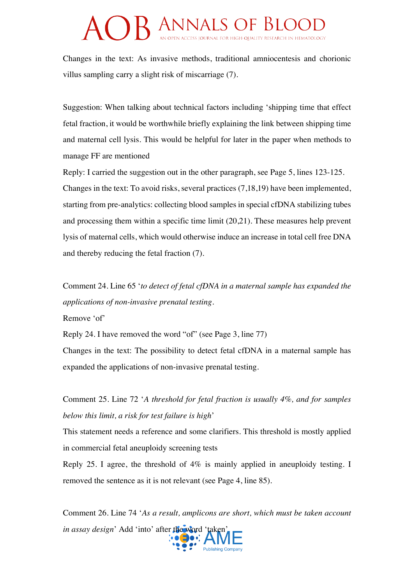Changes in the text: As invasive methods, traditional amniocentesis and chorionic villus sampling carry a slight risk of miscarriage (7).

Suggestion: When talking about technical factors including 'shipping time that effect fetal fraction, it would be worthwhile briefly explaining the link between shipping time and maternal cell lysis. This would be helpful for later in the paper when methods to manage FF are mentioned

Reply: I carried the suggestion out in the other paragraph, see Page 5, lines 123-125. Changes in the text: To avoid risks, several practices (7,18,19) have been implemented, starting from pre-analytics: collecting blood samples in special cfDNA stabilizing tubes and processing them within a specific time limit (20,21). These measures help prevent lysis of maternal cells, which would otherwise induce an increase in total cell free DNA and thereby reducing the fetal fraction (7).

Comment 24. Line 65 '*to detect of fetal cfDNA in a maternal sample has expanded the applications of non-invasive prenatal testing*.

Remove 'of'

Reply 24. I have removed the word "of" (see Page 3, line 77)

Changes in the text: The possibility to detect fetal cfDNA in a maternal sample has expanded the applications of non-invasive prenatal testing.

Comment 25. Line 72 '*A threshold for fetal fraction is usually 4%, and for samples below this limit, a risk for test failure is high*'

This statement needs a reference and some clarifiers. This threshold is mostly applied in commercial fetal aneuploidy screening tests

Reply 25. I agree, the threshold of 4% is mainly applied in aneuploidy testing. I removed the sentence as it is not relevant (see Page 4, line 85).

Comment 26. Line 74 '*As a result, amplicons are short, which must be taken account in assay design*' Add 'into' after the word 'taken'

**Publishing Company**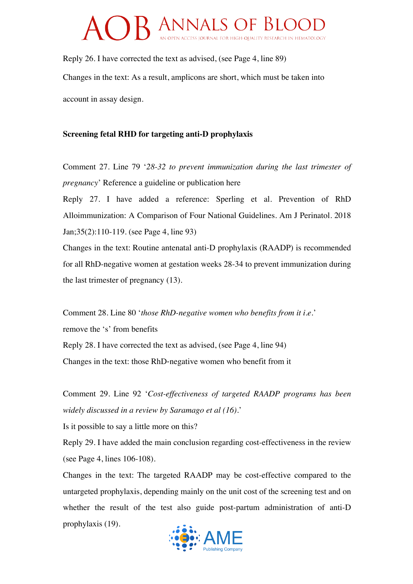Reply 26. I have corrected the text as advised, (see Page 4, line 89) Changes in the text: As a result, amplicons are short, which must be taken into account in assay design.

## **Screening fetal RHD for targeting anti-D prophylaxis**

Comment 27. Line 79 '*28-32 to prevent immunization during the last trimester of pregnancy*' Reference a guideline or publication here

Reply 27. I have added a reference: Sperling et al. Prevention of RhD Alloimmunization: A Comparison of Four National Guidelines. Am J Perinatol. 2018 Jan;35(2):110-119. (see Page 4, line 93)

Changes in the text: Routine antenatal anti-D prophylaxis (RAADP) is recommended for all RhD-negative women at gestation weeks 28-34 to prevent immunization during the last trimester of pregnancy (13).

Comment 28. Line 80 '*those RhD-negative women who benefits from it i.e.*' remove the 's' from benefits Reply 28. I have corrected the text as advised, (see Page 4, line 94) Changes in the text: those RhD-negative women who benefit from it

Comment 29. Line 92 '*Cost-effectiveness of targeted RAADP programs has been widely discussed in a review by Saramago et al (16)*.'

Is it possible to say a little more on this?

Reply 29. I have added the main conclusion regarding cost-effectiveness in the review (see Page 4, lines 106-108).

Changes in the text: The targeted RAADP may be cost-effective compared to the untargeted prophylaxis, depending mainly on the unit cost of the screening test and on whether the result of the test also guide post-partum administration of anti-D prophylaxis (19).

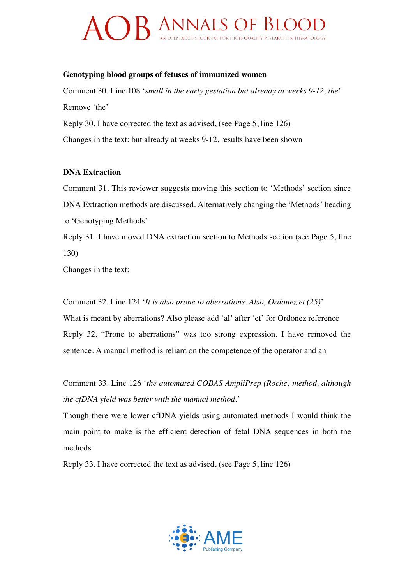### **Genotyping blood groups of fetuses of immunized women**

Comment 30. Line 108 '*small in the early gestation but already at weeks 9-12, the*' Remove 'the'

Reply 30. I have corrected the text as advised, (see Page 5, line 126) Changes in the text: but already at weeks 9-12, results have been shown

## **DNA Extraction**

Comment 31. This reviewer suggests moving this section to 'Methods' section since DNA Extraction methods are discussed. Alternatively changing the 'Methods' heading to 'Genotyping Methods'

Reply 31. I have moved DNA extraction section to Methods section (see Page 5, line 130)

Changes in the text:

Comment 32. Line 124 '*It is also prone to aberrations. Also, Ordonez et (25)*'

What is meant by aberrations? Also please add 'al' after 'et' for Ordonez reference Reply 32. "Prone to aberrations" was too strong expression. I have removed the sentence. A manual method is reliant on the competence of the operator and an

Comment 33. Line 126 '*the automated COBAS AmpliPrep (Roche) method, although the cfDNA yield was better with the manual method.*'

Though there were lower cfDNA yields using automated methods I would think the main point to make is the efficient detection of fetal DNA sequences in both the methods

Reply 33. I have corrected the text as advised, (see Page 5, line 126)

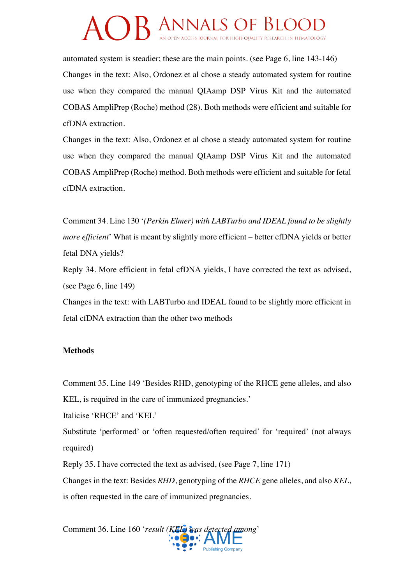automated system is steadier; these are the main points. (see Page 6, line 143-146) Changes in the text: Also, Ordonez et al chose a steady automated system for routine use when they compared the manual QIAamp DSP Virus Kit and the automated COBAS AmpliPrep (Roche) method (28). Both methods were efficient and suitable for cfDNA extraction.

Changes in the text: Also, Ordonez et al chose a steady automated system for routine use when they compared the manual QIAamp DSP Virus Kit and the automated COBAS AmpliPrep (Roche) method. Both methods were efficient and suitable for fetal cfDNA extraction.

Comment 34. Line 130 '*(Perkin Elmer) with LABTurbo and IDEAL found to be slightly more efficient*' What is meant by slightly more efficient – better cfDNA yields or better fetal DNA yields?

Reply 34. More efficient in fetal cfDNA yields, I have corrected the text as advised, (see Page 6, line 149)

Changes in the text: with LABTurbo and IDEAL found to be slightly more efficient in fetal cfDNA extraction than the other two methods

## **Methods**

Comment 35. Line 149 'Besides RHD, genotyping of the RHCE gene alleles, and also KEL, is required in the care of immunized pregnancies.'

Italicise 'RHCE' and 'KEL'

Substitute 'performed' or 'often requested/often required' for 'required' (not always required)

Reply 35. I have corrected the text as advised, (see Page 7, line 171)

Changes in the text: Besides *RHD*, genotyping of the *RHCE* gene alleles, and also *KEL*, is often requested in the care of immunized pregnancies.

Comment 36. Line 160 '*result (KEL) was detected among*'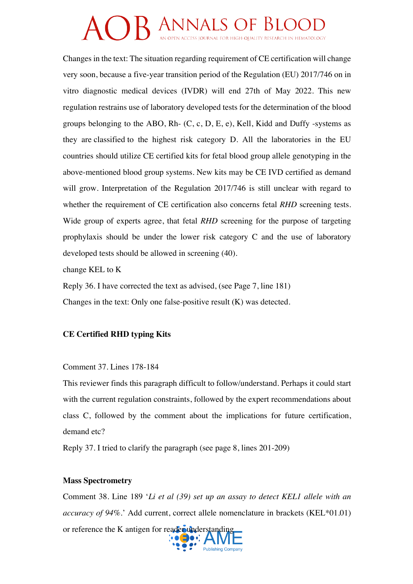Changes in the text: The situation regarding requirement of CE certification will change very soon, because a five-year transition period of the Regulation (EU) 2017/746 on in vitro diagnostic medical devices (IVDR) will end 27th of May 2022. This new regulation restrains use of laboratory developed tests for the determination of the blood groups belonging to the ABO, Rh-  $(C, c, D, E, e)$ , Kell, Kidd and Duffy -systems as they are classified to the highest risk category D. All the laboratories in the EU countries should utilize CE certified kits for fetal blood group allele genotyping in the above-mentioned blood group systems. New kits may be CE IVD certified as demand will grow. Interpretation of the Regulation 2017/746 is still unclear with regard to whether the requirement of CE certification also concerns fetal *RHD* screening tests. Wide group of experts agree, that fetal *RHD* screening for the purpose of targeting prophylaxis should be under the lower risk category C and the use of laboratory developed tests should be allowed in screening (40).

change KEL to K

Reply 36. I have corrected the text as advised, (see Page 7, line 181) Changes in the text: Only one false-positive result (K) was detected.

## **CE Certified RHD typing Kits**

Comment 37. Lines 178-184

This reviewer finds this paragraph difficult to follow/understand. Perhaps it could start with the current regulation constraints, followed by the expert recommendations about class C, followed by the comment about the implications for future certification, demand etc?

Reply 37. I tried to clarify the paragraph (see page 8, lines 201-209)

## **Mass Spectrometry**

Comment 38. Line 189 '*Li et al (39) set up an assay to detect KEL1 allele with an accuracy of 94%.*' Add current, correct allele nomenclature in brackets (KEL\*01.01) or reference the K antigen for reader understanding

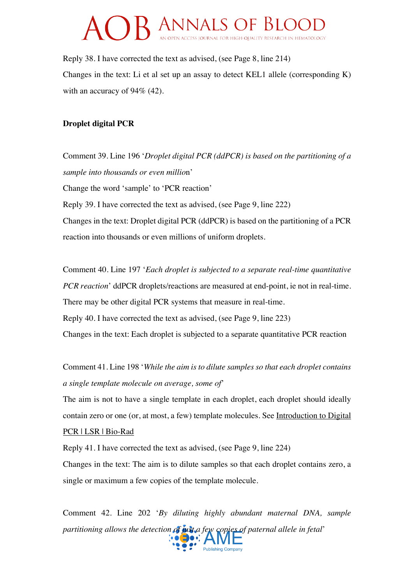Reply 38. I have corrected the text as advised, (see Page 8, line 214) Changes in the text: Li et al set up an assay to detect KEL1 allele (corresponding K) with an accuracy of 94% (42).

### **Droplet digital PCR**

Comment 39. Line 196 '*Droplet digital PCR (ddPCR) is based on the partitioning of a sample into thousands or even millio*n' Change the word 'sample' to 'PCR reaction' Reply 39. I have corrected the text as advised, (see Page 9, line 222) Changes in the text: Droplet digital PCR (ddPCR) is based on the partitioning of a PCR reaction into thousands or even millions of uniform droplets.

Comment 40. Line 197 '*Each droplet is subjected to a separate real-time quantitative PCR reaction*' ddPCR droplets/reactions are measured at end-point, ie not in real-time. There may be other digital PCR systems that measure in real-time. Reply 40. I have corrected the text as advised, (see Page 9, line 223) Changes in the text: Each droplet is subjected to a separate quantitative PCR reaction

Comment 41. Line 198 '*While the aim is to dilute samples so that each droplet contains a single template molecule on average, some of*'

The aim is not to have a single template in each droplet, each droplet should ideally contain zero or one (or, at most, a few) template molecules. See Introduction to Digital

## PCR | LSR | Bio-Rad

Reply 41. I have corrected the text as advised, (see Page 9, line 224)

Changes in the text: The aim is to dilute samples so that each droplet contains zero, a single or maximum a few copies of the template molecule.

Comment 42. Line 202 '*By diluting highly abundant maternal DNA, sample partitioning allows the detection of just a few copies of paternal allele in fetal'*<br>  $\bullet \bullet \bullet$ : AME

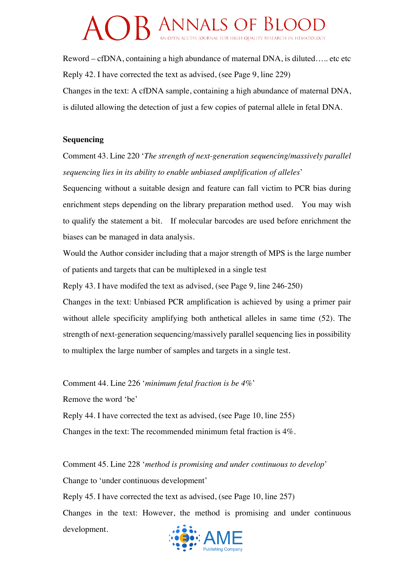Reword – cfDNA, containing a high abundance of maternal DNA, is diluted….. etc etc Reply 42. I have corrected the text as advised, (see Page 9, line 229) Changes in the text: A cfDNA sample, containing a high abundance of maternal DNA, is diluted allowing the detection of just a few copies of paternal allele in fetal DNA.

#### **Sequencing**

Comment 43. Line 220 '*The strength of next-generation sequencing/massively parallel sequencing lies in its ability to enable unbiased amplification of alleles*'

Sequencing without a suitable design and feature can fall victim to PCR bias during enrichment steps depending on the library preparation method used. You may wish to qualify the statement a bit. If molecular barcodes are used before enrichment the biases can be managed in data analysis.

Would the Author consider including that a major strength of MPS is the large number of patients and targets that can be multiplexed in a single test

Reply 43. I have modifed the text as advised, (see Page 9, line 246-250)

Changes in the text: Unbiased PCR amplification is achieved by using a primer pair without allele specificity amplifying both anthetical alleles in same time (52). The strength of next-generation sequencing/massively parallel sequencing lies in possibility to multiplex the large number of samples and targets in a single test.

Comment 44. Line 226 '*minimum fetal fraction is be 4%*'

Remove the word 'be'

Reply 44. I have corrected the text as advised, (see Page 10, line 255)

Changes in the text: The recommended minimum fetal fraction is 4%.

Comment 45. Line 228 '*method is promising and under continuous to develop*' Change to 'under continuous development' Reply 45. I have corrected the text as advised, (see Page 10, line 257) Changes in the text: However, the method is promising and under continuous development.

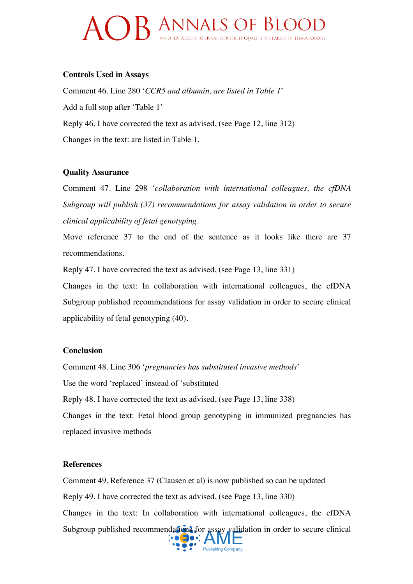#### **Controls Used in Assays**

Comment 46. Line 280 '*CCR5 and albumin, are listed in Table 1*' Add a full stop after 'Table 1' Reply 46. I have corrected the text as advised, (see Page 12, line 312) Changes in the text: are listed in Table 1.

#### **Quality Assurance**

Comment 47. Line 298 '*collaboration with international colleagues, the cfDNA Subgroup will publish (37) recommendations for assay validation in order to secure clinical applicability of fetal genotyping*.

Move reference 37 to the end of the sentence as it looks like there are 37 recommendations.

Reply 47. I have corrected the text as advised, (see Page 13, line 331)

Changes in the text: In collaboration with international colleagues, the cfDNA Subgroup published recommendations for assay validation in order to secure clinical applicability of fetal genotyping (40).

### **Conclusion**

Comment 48. Line 306 '*pregnancies has substituted invasive methods*' Use the word 'replaced' instead of 'substituted Reply 48. I have corrected the text as advised, (see Page 13, line 338) Changes in the text: Fetal blood group genotyping in immunized pregnancies has replaced invasive methods

#### **References**

Comment 49. Reference 37 (Clausen et al) is now published so can be updated Reply 49. I have corrected the text as advised, (see Page 13, line 330) Changes in the text: In collaboration with international colleagues, the cfDNA Subgroup published recommendations for assay validation in order to secure clinical<br> $\cdot \cdot \cdot$   $\cdot \cdot \cdot$ 

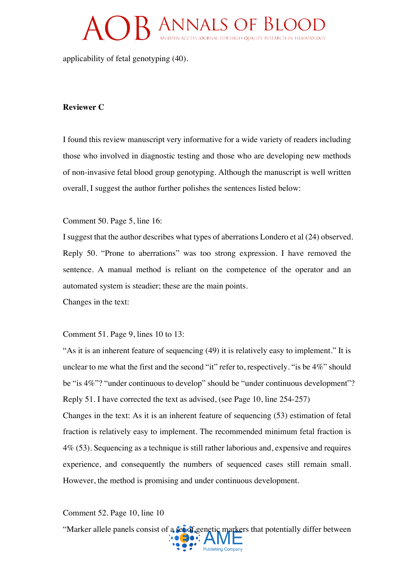applicability of fetal genotyping (40).

#### **Reviewer C**

I found this review manuscript very informative for a wide variety of readers including those who involved in diagnostic testing and those who are developing new methods of non-invasive fetal blood group genotyping. Although the manuscript is well written overall, I suggest the author further polishes the sentences listed below:

Comment 50. Page 5, line 16:

I suggest that the author describes what types of aberrations Londero et al (24) observed. Reply 50. "Prone to aberrations" was too strong expression. I have removed the sentence. A manual method is reliant on the competence of the operator and an automated system is steadier; these are the main points.

Changes in the text:

Comment 51. Page 9, lines 10 to 13:

"As it is an inherent feature of sequencing (49) it is relatively easy to implement." It is unclear to me what the first and the second "it" refer to, respectively. "is be 4%" should be "is 4%"? "under continuous to develop" should be "under continuous development"? Reply 51. I have corrected the text as advised, (see Page 10, line 254-257)

Changes in the text: As it is an inherent feature of sequencing (53) estimation of fetal fraction is relatively easy to implement. The recommended minimum fetal fraction is 4% (53). Sequencing as a technique is still rather laborious and, expensive and requires experience, and consequently the numbers of sequenced cases still remain small. However, the method is promising and under continuous development.

Comment 52. Page 10, line 10

"Marker allele panels consist of a set of genetic markers that potentially differ between **Publishing Company**